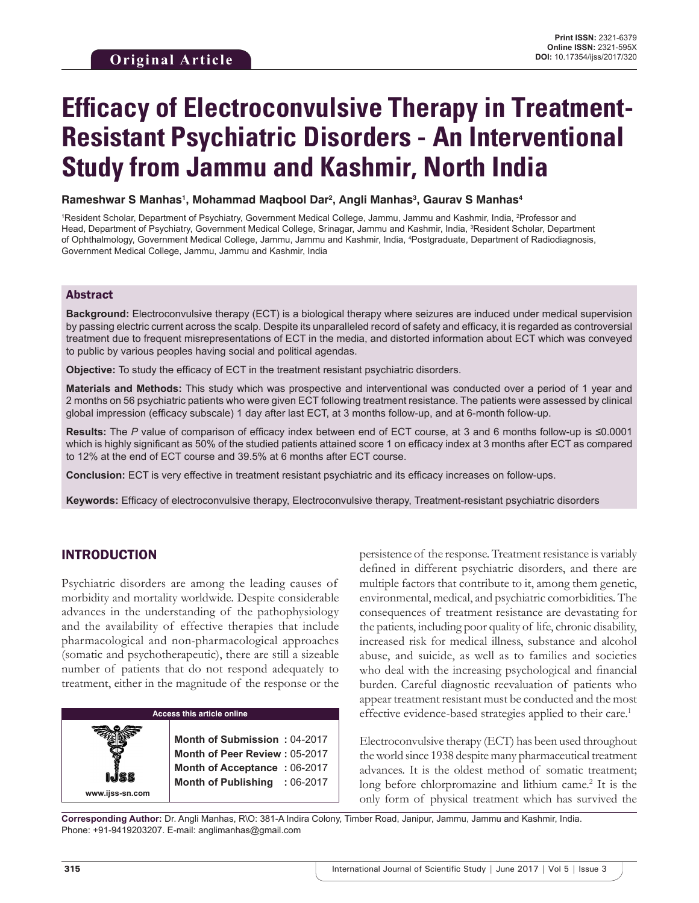# **Efficacy of Electroconvulsive Therapy in Treatment-Resistant Psychiatric Disorders - An Interventional Study from Jammu and Kashmir, North India**

**Rameshwar S Manhas1 , Mohammad Maqbool Dar2 , Angli Manhas3 , Gaurav S Manhas4**

<sup>1</sup>Resident Scholar, Department of Psychiatry, Government Medical College, Jammu, Jammu and Kashmir, India, <sup>2</sup>Professor and Head, Department of Psychiatry, Government Medical College, Srinagar, Jammu and Kashmir, India, <sup>3</sup>Resident Scholar, Department of Ophthalmology, Government Medical College, Jammu, Jammu and Kashmir, India, 4 Postgraduate, Department of Radiodiagnosis, Government Medical College, Jammu, Jammu and Kashmir, India

#### Abstract

**Background:** Electroconvulsive therapy (ECT) is a biological therapy where seizures are induced under medical supervision by passing electric current across the scalp. Despite its unparalleled record of safety and efficacy, it is regarded as controversial treatment due to frequent misrepresentations of ECT in the media, and distorted information about ECT which was conveyed to public by various peoples having social and political agendas.

**Objective:** To study the efficacy of ECT in the treatment resistant psychiatric disorders.

**Materials and Methods:** This study which was prospective and interventional was conducted over a period of 1 year and 2 months on 56 psychiatric patients who were given ECT following treatment resistance. The patients were assessed by clinical global impression (efficacy subscale) 1 day after last ECT, at 3 months follow-up, and at 6-month follow-up.

**Results:** The *P* value of comparison of efficacy index between end of ECT course, at 3 and 6 months follow-up is ≤0.0001 which is highly significant as 50% of the studied patients attained score 1 on efficacy index at 3 months after ECT as compared to 12% at the end of ECT course and 39.5% at 6 months after ECT course.

**Conclusion:** ECT is very effective in treatment resistant psychiatric and its efficacy increases on follow-ups.

**Keywords:** Efficacy of electroconvulsive therapy, Electroconvulsive therapy, Treatment-resistant psychiatric disorders

#### INTRODUCTION

**www.ijss-sn.com**

Psychiatric disorders are among the leading causes of morbidity and mortality worldwide. Despite considerable advances in the understanding of the pathophysiology and the availability of effective therapies that include pharmacological and non-pharmacological approaches (somatic and psychotherapeutic), there are still a sizeable number of patients that do not respond adequately to treatment, either in the magnitude of the response or the

## **Access this article online**

**Month of Submission :** 04-2017 **Month of Peer Review :** 05-2017 **Month of Acceptance :** 06-2017 **Month of Publishing :** 06-2017 persistence of the response. Treatment resistance is variably defined in different psychiatric disorders, and there are multiple factors that contribute to it, among them genetic, environmental, medical, and psychiatric comorbidities. The consequences of treatment resistance are devastating for the patients, including poor quality of life, chronic disability, increased risk for medical illness, substance and alcohol abuse, and suicide, as well as to families and societies who deal with the increasing psychological and financial burden. Careful diagnostic reevaluation of patients who appear treatment resistant must be conducted and the most effective evidence-based strategies applied to their care.<sup>1</sup>

Electroconvulsive therapy (ECT) has been used throughout the world since 1938 despite many pharmaceutical treatment advances. It is the oldest method of somatic treatment; long before chlorpromazine and lithium came.<sup>2</sup> It is the only form of physical treatment which has survived the

**Corresponding Author:** Dr. Angli Manhas, R\O: 381-A Indira Colony, Timber Road, Janipur, Jammu, Jammu and Kashmir, India. Phone: +91-9419203207. E-mail: anglimanhas@gmail.com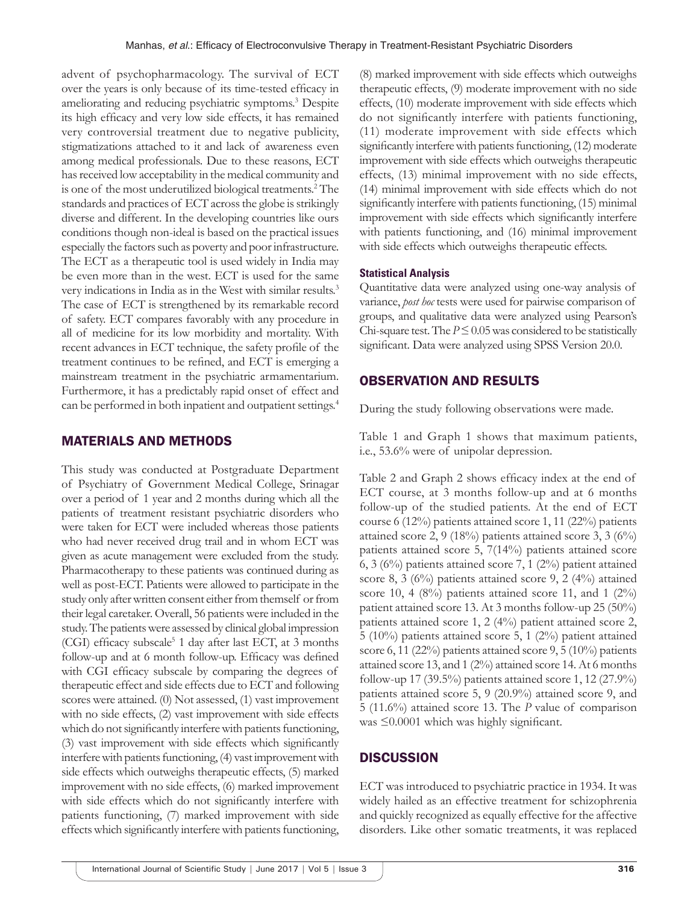advent of psychopharmacology. The survival of ECT over the years is only because of its time-tested efficacy in ameliorating and reducing psychiatric symptoms.<sup>3</sup> Despite its high efficacy and very low side effects, it has remained very controversial treatment due to negative publicity, stigmatizations attached to it and lack of awareness even among medical professionals. Due to these reasons, ECT has received low acceptability in the medical community and is one of the most underutilized biological treatments.<sup>2</sup> The standards and practices of ECT across the globe is strikingly diverse and different. In the developing countries like ours conditions though non-ideal is based on the practical issues especially the factors such as poverty and poor infrastructure. The ECT as a therapeutic tool is used widely in India may be even more than in the west. ECT is used for the same very indications in India as in the West with similar results.3 The case of ECT is strengthened by its remarkable record of safety. ECT compares favorably with any procedure in all of medicine for its low morbidity and mortality. With recent advances in ECT technique, the safety profile of the treatment continues to be refined, and ECT is emerging a mainstream treatment in the psychiatric armamentarium. Furthermore, it has a predictably rapid onset of effect and can be performed in both inpatient and outpatient settings.<sup>4</sup>

## MATERIALS AND METHODS

This study was conducted at Postgraduate Department of Psychiatry of Government Medical College, Srinagar over a period of 1 year and 2 months during which all the patients of treatment resistant psychiatric disorders who were taken for ECT were included whereas those patients who had never received drug trail and in whom ECT was given as acute management were excluded from the study. Pharmacotherapy to these patients was continued during as well as post-ECT. Patients were allowed to participate in the study only after written consent either from themself or from their legal caretaker. Overall, 56 patients were included in the study. The patients were assessed by clinical global impression (CGI) efficacy subscale<sup>5</sup> 1 day after last ECT, at 3 months follow-up and at 6 month follow-up. Efficacy was defined with CGI efficacy subscale by comparing the degrees of therapeutic effect and side effects due to ECT and following scores were attained. (0) Not assessed, (1) vast improvement with no side effects, (2) vast improvement with side effects which do not significantly interfere with patients functioning, (3) vast improvement with side effects which significantly interfere with patients functioning, (4) vast improvement with side effects which outweighs therapeutic effects, (5) marked improvement with no side effects, (6) marked improvement with side effects which do not significantly interfere with patients functioning, (7) marked improvement with side effects which significantly interfere with patients functioning,

(8) marked improvement with side effects which outweighs therapeutic effects, (9) moderate improvement with no side effects, (10) moderate improvement with side effects which do not significantly interfere with patients functioning, (11) moderate improvement with side effects which significantly interfere with patients functioning, (12) moderate improvement with side effects which outweighs therapeutic effects, (13) minimal improvement with no side effects, (14) minimal improvement with side effects which do not significantly interfere with patients functioning, (15) minimal improvement with side effects which significantly interfere with patients functioning, and (16) minimal improvement with side effects which outweighs therapeutic effects.

#### **Statistical Analysis**

Quantitative data were analyzed using one-way analysis of variance, *post hoc* tests were used for pairwise comparison of groups, and qualitative data were analyzed using Pearson's Chi-square test. The  $P \le 0.05$  was considered to be statistically significant. Data were analyzed using SPSS Version 20.0.

# OBSERVATION AND RESULTS

During the study following observations were made.

Table 1 and Graph 1 shows that maximum patients, i.e., 53.6% were of unipolar depression.

Table 2 and Graph 2 shows efficacy index at the end of ECT course, at 3 months follow-up and at 6 months follow-up of the studied patients. At the end of ECT course 6 (12%) patients attained score 1, 11 (22%) patients attained score 2, 9 (18%) patients attained score 3, 3 (6%) patients attained score 5, 7(14%) patients attained score 6, 3 (6%) patients attained score 7, 1 (2%) patient attained score 8, 3 (6%) patients attained score 9, 2 (4%) attained score 10, 4  $(8\%)$  patients attained score 11, and 1  $(2\%)$ patient attained score 13. At 3 months follow-up 25 (50%) patients attained score 1, 2 (4%) patient attained score 2, 5 (10%) patients attained score 5, 1 (2%) patient attained score 6, 11 (22%) patients attained score 9, 5 (10%) patients attained score 13, and 1 (2%) attained score 14. At 6 months follow-up 17 (39.5%) patients attained score 1, 12 (27.9%) patients attained score 5, 9 (20.9%) attained score 9, and 5 (11.6%) attained score 13. The *P* value of comparison was ≤0.0001 which was highly significant.

# **DISCUSSION**

ECT was introduced to psychiatric practice in 1934. It was widely hailed as an effective treatment for schizophrenia and quickly recognized as equally effective for the affective disorders. Like other somatic treatments, it was replaced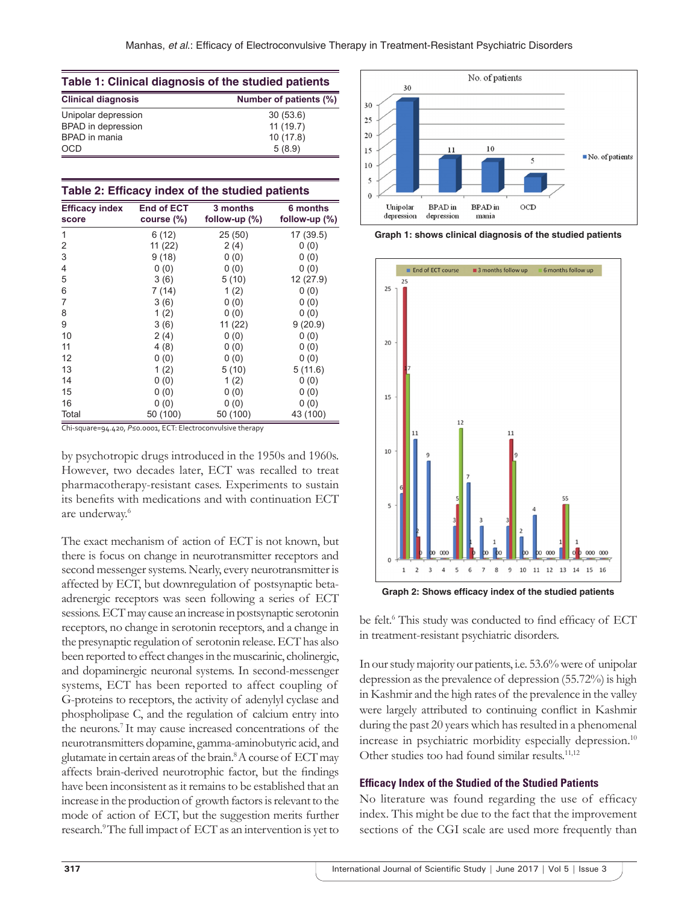| Table 1: Clinical diagnosis of the studied patients |                        |  |  |
|-----------------------------------------------------|------------------------|--|--|
| <b>Clinical diagnosis</b>                           | Number of patients (%) |  |  |
| Unipolar depression                                 | 30(53.6)               |  |  |
| <b>BPAD</b> in depression                           | 11(19.7)               |  |  |
| BPAD in mania                                       | 10(17.8)               |  |  |
| <b>OCD</b>                                          | 5(8.9)                 |  |  |

|  | Table 2: Efficacy index of the studied patients |  |  |  |  |
|--|-------------------------------------------------|--|--|--|--|
|--|-------------------------------------------------|--|--|--|--|

| <b>Efficacy index</b><br>score | <b>End of ECT</b><br>course (%) | 3 months<br>follow-up $(\%)$ | 6 months<br>follow-up $(\%)$ |
|--------------------------------|---------------------------------|------------------------------|------------------------------|
| 1                              | 6(12)                           | 25 (50)                      | 17 (39.5)                    |
| 2                              | 11 (22)                         | 2(4)                         | 0(0)                         |
| 3                              | 9(18)                           | 0(0)                         | 0(0)                         |
| 4                              | 0(0)                            | 0(0)                         | 0(0)                         |
| 5                              | 3(6)                            | 5(10)                        | 12 (27.9)                    |
| 6                              | 7(14)                           | 1(2)                         | 0(0)                         |
| 7                              | 3(6)                            | 0(0)                         | 0(0)                         |
| 8                              | 1(2)                            | 0(0)                         | 0(0)                         |
| 9                              | 3(6)                            | 11(22)                       | 9(20.9)                      |
| 10                             | 2(4)                            | 0(0)                         | 0(0)                         |
| 11                             | 4(8)                            | 0(0)                         | 0(0)                         |
| 12                             | 0(0)                            | 0(0)                         | 0(0)                         |
| 13                             | 1(2)                            | 5(10)                        | 5(11.6)                      |
| 14                             | 0(0)                            | 1(2)                         | 0(0)                         |
| 15                             | 0(0)                            | 0(0)                         | 0(0)                         |
| 16                             | 0(0)                            | 0(0)                         | 0(0)                         |
| Total                          | 50 (100)                        | 50 (100)                     | 43 (100)                     |

Chi‑square=94.420, *P*≤0.0001, ECT: Electroconvulsive therapy

by psychotropic drugs introduced in the 1950s and 1960s. However, two decades later, ECT was recalled to treat pharmacotherapy-resistant cases. Experiments to sustain its benefits with medications and with continuation ECT are underway.<sup>6</sup>

The exact mechanism of action of ECT is not known, but there is focus on change in neurotransmitter receptors and second messenger systems. Nearly, every neurotransmitter is affected by ECT, but downregulation of postsynaptic betaadrenergic receptors was seen following a series of ECT sessions. ECT may cause an increase in postsynaptic serotonin receptors, no change in serotonin receptors, and a change in the presynaptic regulation of serotonin release. ECT has also been reported to effect changes in the muscarinic, cholinergic, and dopaminergic neuronal systems. In second-messenger systems, ECT has been reported to affect coupling of G-proteins to receptors, the activity of adenylyl cyclase and phospholipase C, and the regulation of calcium entry into the neurons.<sup>7</sup>It may cause increased concentrations of the neurotransmitters dopamine, gamma-aminobutyric acid, and glutamate in certain areas of the brain.<sup>8</sup> A course of ECT may affects brain-derived neurotrophic factor, but the findings have been inconsistent as it remains to be established that an increase in the production of growth factors is relevant to the mode of action of ECT, but the suggestion merits further research.<sup>9</sup>The full impact of ECT as an intervention is yet to



**Graph 1: shows clinical diagnosis of the studied patients**



**Graph 2: Shows efficacy index of the studied patients**

be felt.<sup>6</sup> This study was conducted to find efficacy of ECT in treatment-resistant psychiatric disorders.

In our study majority our patients, i.e. 53.6% were of unipolar depression as the prevalence of depression (55.72%) is high in Kashmir and the high rates of the prevalence in the valley were largely attributed to continuing conflict in Kashmir during the past 20 years which has resulted in a phenomenal increase in psychiatric morbidity especially depression.<sup>10</sup> Other studies too had found similar results. $11,12$ 

#### **Efficacy Index of the Studied of the Studied Patients**

No literature was found regarding the use of efficacy index. This might be due to the fact that the improvement sections of the CGI scale are used more frequently than